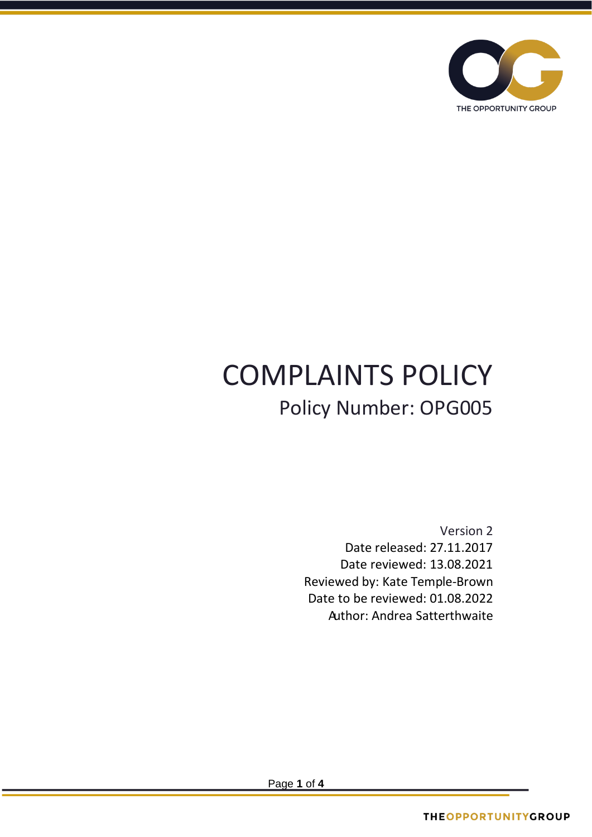

# COMPLAINTS POLICY Policy Number: OPG005

Version 2 Date released: 27.11.2017 Date reviewed: 13.08.2021 Reviewed by: Kate Temple-Brown Date to be reviewed: 01.08.2022 Author: Andrea Satterthwaite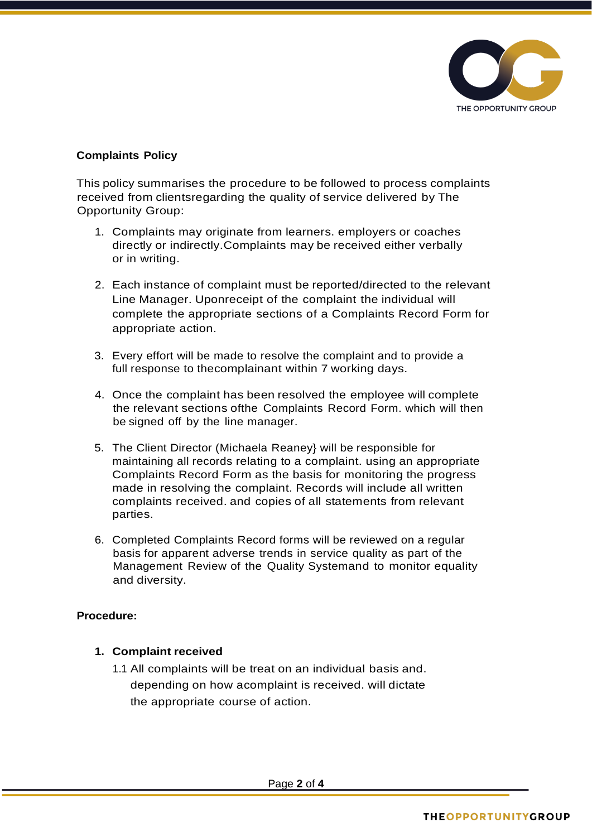

# **Complaints Policy**

This policy summarises the procedure to be followed to process complaints received from clientsregarding the quality of service delivered by The Opportunity Group:

- 1. Complaints may originate from learners. employers or coaches directly or indirectly.Complaints may be received either verbally or in writing.
- 2. Each instance of complaint must be reported/directed to the relevant Line Manager. Uponreceipt of the complaint the individual will complete the appropriate sections of a Complaints Record Form for appropriate action.
- 3. Every effort will be made to resolve the complaint and to provide a full response to thecomplainant within 7 working days.
- 4. Once the complaint has been resolved the employee will complete the relevant sections ofthe Complaints Record Form. which will then be signed off by the line manager.
- 5. The Client Director (Michaela Reaney} will be responsible for maintaining all records relating to a complaint. using an appropriate Complaints Record Form as the basis for monitoring the progress made in resolving the complaint. Records will include all written complaints received. and copies of all statements from relevant parties.
- 6. Completed Complaints Record forms will be reviewed on a regular basis for apparent adverse trends in service quality as part of the Management Review of the Quality Systemand to monitor equality and diversity.

### **Procedure:**

### **1. Complaint received**

1.1 All complaints will be treat on an individual basis and. depending on how acomplaint is received. will dictate the appropriate course of action.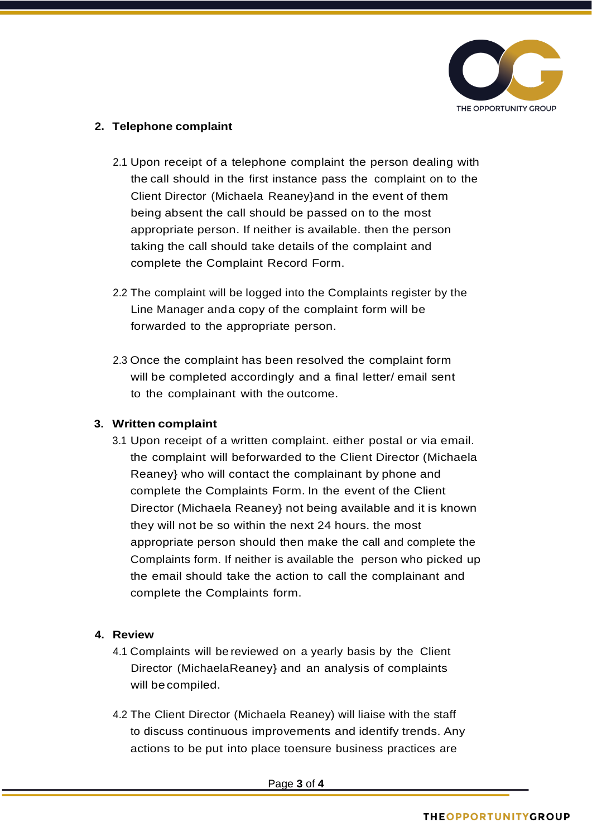

# **2. Telephone complaint**

- 2.1 Upon receipt of a telephone complaint the person dealing with the call should in the first instance pass the complaint on to the Client Director (Michaela Reaney}and in the event of them being absent the call should be passed on to the most appropriate person. If neither is available. then the person taking the call should take details of the complaint and complete the Complaint Record Form.
- 2.2 The complaint will be logged into the Complaints register by the Line Manager and a copy of the complaint form will be forwarded to the appropriate person.
- 2.3 Once the complaint has been resolved the complaint form will be completed accordingly and a final letter/ email sent to the complainant with the outcome.

# **3. Written complaint**

3.1 Upon receipt of a written complaint. either postal or via email. the complaint will beforwarded to the Client Director (Michaela Reaney} who will contact the complainant by phone and complete the Complaints Form. In the event of the Client Director (Michaela Reaney} not being available and it is known they will not be so within the next 24 hours. the most appropriate person should then make the call and complete the Complaints form. If neither is available the person who picked up the email should take the action to call the complainant and complete the Complaints form.

# **4. Review**

- 4.1 Complaints will be reviewed on a yearly basis by the Client Director (MichaelaReaney} and an analysis of complaints will be compiled.
- 4.2 The Client Director (Michaela Reaney) will liaise with the staff to discuss continuous improvements and identify trends. Any actions to be put into place toensure business practices are

Page **3** of **4**